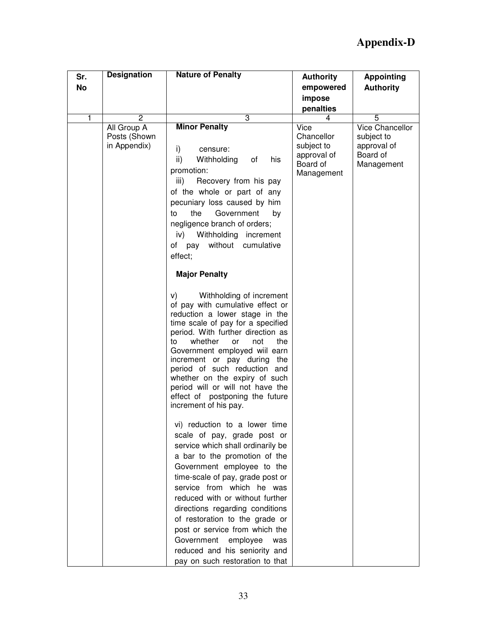| Sr. | <b>Designation</b>                          | <b>Nature of Penalty</b>                                                                                                                                                                                                                                                                                                                                                                                                                                                         | <b>Authority</b>                                                          | <b>Appointing</b>                                                             |
|-----|---------------------------------------------|----------------------------------------------------------------------------------------------------------------------------------------------------------------------------------------------------------------------------------------------------------------------------------------------------------------------------------------------------------------------------------------------------------------------------------------------------------------------------------|---------------------------------------------------------------------------|-------------------------------------------------------------------------------|
| No  |                                             |                                                                                                                                                                                                                                                                                                                                                                                                                                                                                  | empowered                                                                 | <b>Authority</b>                                                              |
|     |                                             |                                                                                                                                                                                                                                                                                                                                                                                                                                                                                  | impose                                                                    |                                                                               |
|     |                                             |                                                                                                                                                                                                                                                                                                                                                                                                                                                                                  | penalties                                                                 |                                                                               |
|     | $\overline{2}$                              | $\overline{3}$                                                                                                                                                                                                                                                                                                                                                                                                                                                                   | 4                                                                         | $\overline{5}$                                                                |
|     | All Group A<br>Posts (Shown<br>in Appendix) | <b>Minor Penalty</b><br>i)<br>censure:<br>ii)<br>Withholding<br>of<br>his<br>promotion:<br>iii)<br>Recovery from his pay<br>of the whole or part of any<br>pecuniary loss caused by him<br>the<br>Government<br>to<br>by<br>negligence branch of orders;<br>Withholding increment<br>iv)<br>of pay without cumulative<br>effect;                                                                                                                                                 | Vice<br>Chancellor<br>subject to<br>approval of<br>Board of<br>Management | <b>Vice Chancellor</b><br>subject to<br>approval of<br>Board of<br>Management |
|     |                                             | <b>Major Penalty</b>                                                                                                                                                                                                                                                                                                                                                                                                                                                             |                                                                           |                                                                               |
|     |                                             | Withholding of increment<br>V)<br>of pay with cumulative effect or<br>reduction a lower stage in the<br>time scale of pay for a specified<br>period. With further direction as<br>whether<br>to<br>not<br>the<br>or<br>Government employed will earn<br>increment or pay during the<br>period of such reduction and<br>whether on the expiry of such<br>period will or will not have the<br>effect of postponing the future<br>increment of his pay.                             |                                                                           |                                                                               |
|     |                                             | vi) reduction to a lower time<br>scale of pay, grade post or<br>service which shall ordinarily be<br>a bar to the promotion of the<br>Government employee to the<br>time-scale of pay, grade post or<br>service from which he was<br>reduced with or without further<br>directions regarding conditions<br>of restoration to the grade or<br>post or service from which the<br>Government<br>employee<br>was<br>reduced and his seniority and<br>pay on such restoration to that |                                                                           |                                                                               |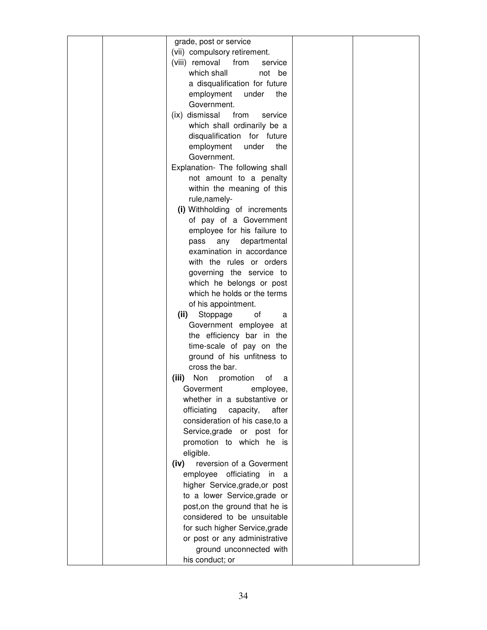| grade, post or service               |  |
|--------------------------------------|--|
| (vii) compulsory retirement.         |  |
| (viii) removal<br>from<br>service    |  |
| which shall<br>not<br>be             |  |
| a disqualification for future        |  |
| employment<br>under<br>the           |  |
| Government.                          |  |
| (ix) dismissal<br>from<br>service    |  |
| which shall ordinarily be a          |  |
| disqualification for future          |  |
| employment<br>under<br>the           |  |
| Government.                          |  |
| Explanation- The following shall     |  |
| not amount to a penalty              |  |
| within the meaning of this           |  |
| rule, namely-                        |  |
| (i) Withholding of increments        |  |
| of pay of a Government               |  |
| employee for his failure to          |  |
| any<br>departmental<br>pass          |  |
| examination in accordance            |  |
| with the rules or orders             |  |
| governing the service to             |  |
| which he belongs or post             |  |
| which he holds or the terms          |  |
| of his appointment.                  |  |
| (ii)<br>Stoppage<br>οf<br>a          |  |
| Government employee<br>at            |  |
| the efficiency bar in the            |  |
| time-scale of pay on the             |  |
| ground of his unfitness to           |  |
| cross the bar.                       |  |
| Non<br>(iii)<br>promotion<br>οf<br>a |  |
| Goverment<br>employee,               |  |
| whether in a substantive or          |  |
| officiating<br>capacity,<br>after    |  |
| consideration of his case, to a      |  |
| Service,grade or post for            |  |
| promotion to which he is             |  |
| eligible.                            |  |
| reversion of a Goverment<br>(iv)     |  |
| employee officiating in<br>- a       |  |
| higher Service, grade, or post       |  |
| to a lower Service, grade or         |  |
| post, on the ground that he is       |  |
| considered to be unsuitable          |  |
| for such higher Service, grade       |  |
| or post or any administrative        |  |
| ground unconnected with              |  |
| his conduct; or                      |  |
|                                      |  |